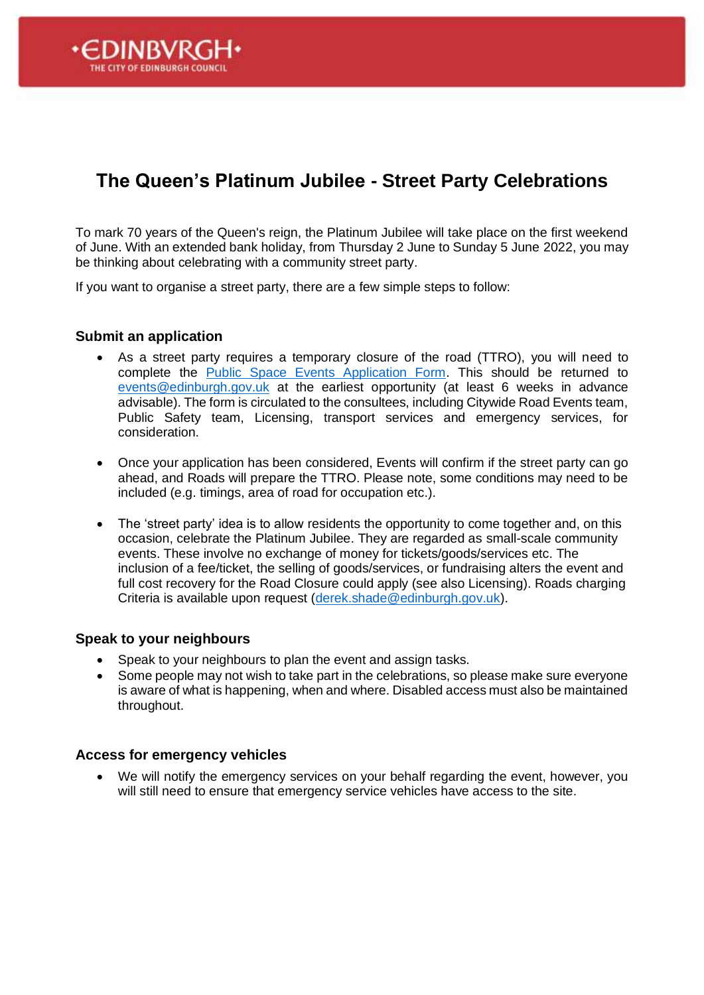

To mark 70 years of the Queen's reign, the Platinum Jubilee will take place on the first weekend of June. With an extended bank holiday, from Thursday 2 June to Sunday 5 June 2022, you may be thinking about celebrating with a community street party.

If you want to organise a street party, there are a few simple steps to follow:

#### **Submit an application**

DINRVR

- As a street party requires a temporary closure of the road (TTRO), you will need to complete the [Public Space Events Application Form.](https://cultureedinburgh.com/plan-my-eventprocess/apply-hold-event) This should be returned to [events@edinburgh.gov.uk](mailto:events@edinburgh.gov.uk) at the earliest opportunity (at least 6 weeks in advance advisable). The form is circulated to the consultees, including Citywide Road Events team, Public Safety team, Licensing, transport services and emergency services, for consideration.
- Once your application has been considered, Events will confirm if the street party can go ahead, and Roads will prepare the TTRO. Please note, some conditions may need to be included (e.g. timings, area of road for occupation etc.).
- The 'street party' idea is to allow residents the opportunity to come together and, on this occasion, celebrate the Platinum Jubilee. They are regarded as small-scale community events. These involve no exchange of money for tickets/goods/services etc. The inclusion of a fee/ticket, the selling of goods/services, or fundraising alters the event and full cost recovery for the Road Closure could apply (see also Licensing). Roads charging Criteria is available upon request [\(derek.shade@edinburgh.gov.uk\)](mailto:derek.shade@edinburgh.gov.uk).

#### **Speak to your neighbours**

- Speak to your neighbours to plan the event and assign tasks.
- Some people may not wish to take part in the celebrations, so please make sure everyone is aware of what is happening, when and where. Disabled access must also be maintained throughout.

#### **Access for emergency vehicles**

• We will notify the emergency services on your behalf regarding the event, however, you will still need to ensure that emergency service vehicles have access to the site.